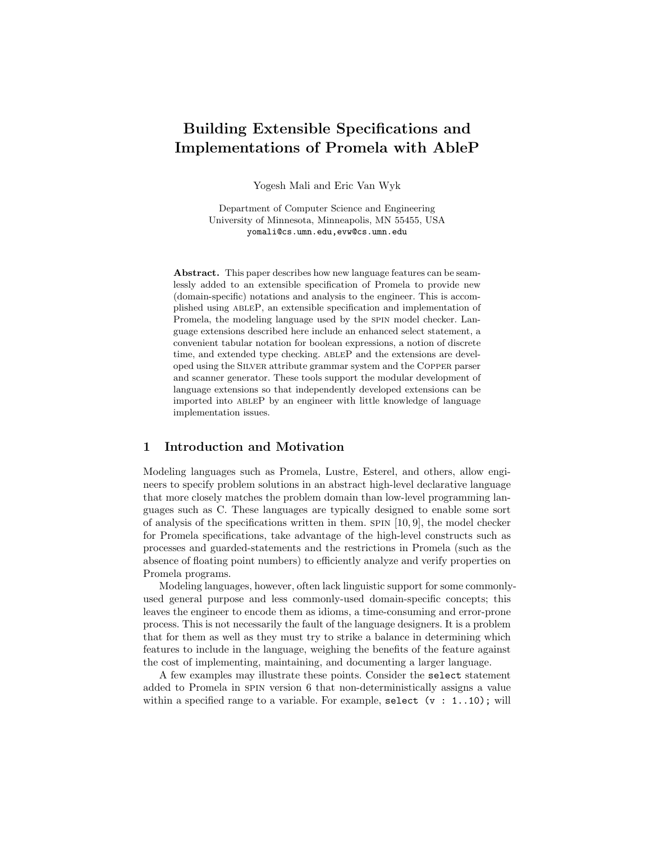# Building Extensible Specifications and Implementations of Promela with AbleP

Yogesh Mali and Eric Van Wyk

Department of Computer Science and Engineering University of Minnesota, Minneapolis, MN 55455, USA yomali@cs.umn.edu,evw@cs.umn.edu

Abstract. This paper describes how new language features can be seamlessly added to an extensible specification of Promela to provide new (domain-specific) notations and analysis to the engineer. This is accomplished using ableP, an extensible specification and implementation of Promela, the modeling language used by the spin model checker. Language extensions described here include an enhanced select statement, a convenient tabular notation for boolean expressions, a notion of discrete time, and extended type checking. ABLEP and the extensions are developed using the Silver attribute grammar system and the Copper parser and scanner generator. These tools support the modular development of language extensions so that independently developed extensions can be imported into ableP by an engineer with little knowledge of language implementation issues.

## 1 Introduction and Motivation

Modeling languages such as Promela, Lustre, Esterel, and others, allow engineers to specify problem solutions in an abstract high-level declarative language that more closely matches the problem domain than low-level programming languages such as C. These languages are typically designed to enable some sort of analysis of the specifications written in them.  $SPIN$  [10, 9], the model checker for Promela specifications, take advantage of the high-level constructs such as processes and guarded-statements and the restrictions in Promela (such as the absence of floating point numbers) to efficiently analyze and verify properties on Promela programs.

Modeling languages, however, often lack linguistic support for some commonlyused general purpose and less commonly-used domain-specific concepts; this leaves the engineer to encode them as idioms, a time-consuming and error-prone process. This is not necessarily the fault of the language designers. It is a problem that for them as well as they must try to strike a balance in determining which features to include in the language, weighing the benefits of the feature against the cost of implementing, maintaining, and documenting a larger language.

A few examples may illustrate these points. Consider the select statement added to Promela in spin version 6 that non-deterministically assigns a value within a specified range to a variable. For example, select  $(v : 1..10)$ ; will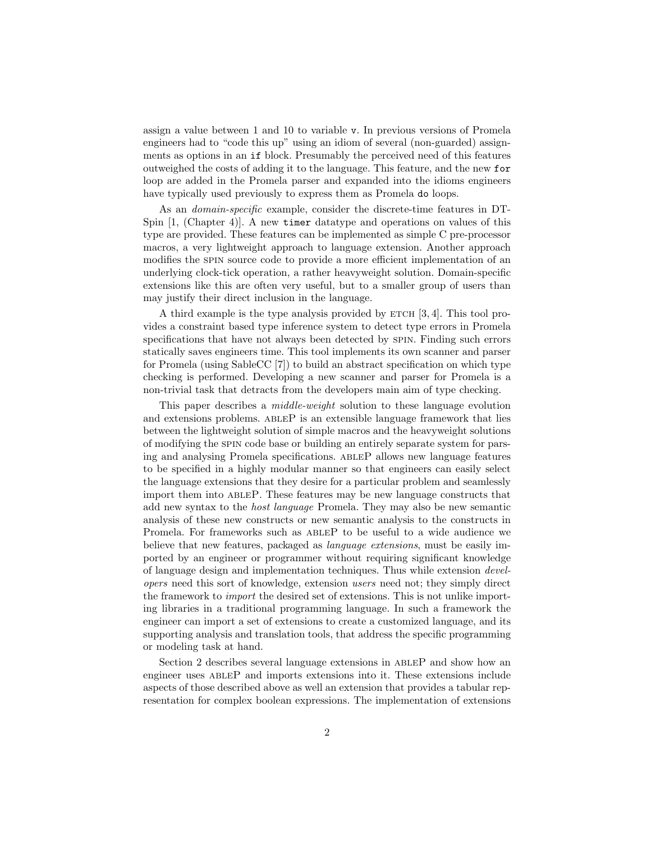assign a value between 1 and 10 to variable v. In previous versions of Promela engineers had to "code this up" using an idiom of several (non-guarded) assignments as options in an if block. Presumably the perceived need of this features outweighed the costs of adding it to the language. This feature, and the new for loop are added in the Promela parser and expanded into the idioms engineers have typically used previously to express them as Promela do loops.

As an domain-specific example, consider the discrete-time features in DT-Spin [1, (Chapter 4)]. A new timer datatype and operations on values of this type are provided. These features can be implemented as simple C pre-processor macros, a very lightweight approach to language extension. Another approach modifies the spin source code to provide a more efficient implementation of an underlying clock-tick operation, a rather heavyweight solution. Domain-specific extensions like this are often very useful, but to a smaller group of users than may justify their direct inclusion in the language.

A third example is the type analysis provided by ETCH  $[3, 4]$ . This tool provides a constraint based type inference system to detect type errors in Promela specifications that have not always been detected by spin. Finding such errors statically saves engineers time. This tool implements its own scanner and parser for Promela (using SableCC [7]) to build an abstract specification on which type checking is performed. Developing a new scanner and parser for Promela is a non-trivial task that detracts from the developers main aim of type checking.

This paper describes a middle-weight solution to these language evolution and extensions problems. ABLEP is an extensible language framework that lies between the lightweight solution of simple macros and the heavyweight solutions of modifying the spin code base or building an entirely separate system for parsing and analysing Promela specifications. ableP allows new language features to be specified in a highly modular manner so that engineers can easily select the language extensions that they desire for a particular problem and seamlessly import them into ableP. These features may be new language constructs that add new syntax to the host language Promela. They may also be new semantic analysis of these new constructs or new semantic analysis to the constructs in Promela. For frameworks such as ableP to be useful to a wide audience we believe that new features, packaged as language extensions, must be easily imported by an engineer or programmer without requiring significant knowledge of language design and implementation techniques. Thus while extension developers need this sort of knowledge, extension users need not; they simply direct the framework to import the desired set of extensions. This is not unlike importing libraries in a traditional programming language. In such a framework the engineer can import a set of extensions to create a customized language, and its supporting analysis and translation tools, that address the specific programming or modeling task at hand.

Section 2 describes several language extensions in ableP and show how an engineer uses ableP and imports extensions into it. These extensions include aspects of those described above as well an extension that provides a tabular representation for complex boolean expressions. The implementation of extensions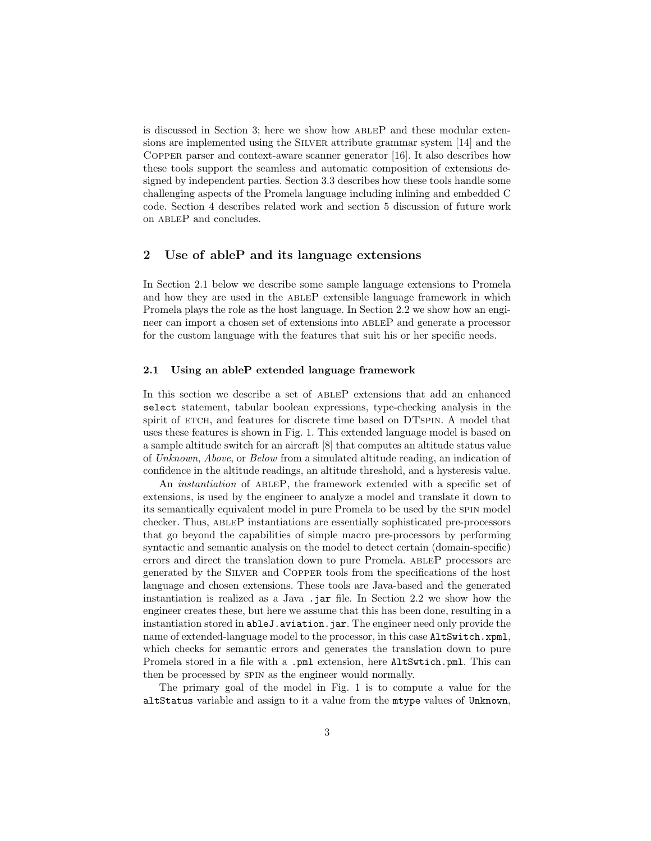is discussed in Section 3; here we show how ableP and these modular extensions are implemented using the SILVER attribute grammar system [14] and the COPPER parser and context-aware scanner generator [16]. It also describes how these tools support the seamless and automatic composition of extensions designed by independent parties. Section 3.3 describes how these tools handle some challenging aspects of the Promela language including inlining and embedded C code. Section 4 describes related work and section 5 discussion of future work on ABLEP and concludes.

## 2 Use of ableP and its language extensions

In Section 2.1 below we describe some sample language extensions to Promela and how they are used in the ABLEP extensible language framework in which Promela plays the role as the host language. In Section 2.2 we show how an engineer can import a chosen set of extensions into ableP and generate a processor for the custom language with the features that suit his or her specific needs.

## 2.1 Using an ableP extended language framework

In this section we describe a set of ableP extensions that add an enhanced select statement, tabular boolean expressions, type-checking analysis in the spirit of ETCH, and features for discrete time based on DTSPIN. A model that uses these features is shown in Fig. 1. This extended language model is based on a sample altitude switch for an aircraft [8] that computes an altitude status value of Unknown, Above, or Below from a simulated altitude reading, an indication of confidence in the altitude readings, an altitude threshold, and a hysteresis value.

An instantiation of ableP, the framework extended with a specific set of extensions, is used by the engineer to analyze a model and translate it down to its semantically equivalent model in pure Promela to be used by the spin model checker. Thus, ableP instantiations are essentially sophisticated pre-processors that go beyond the capabilities of simple macro pre-processors by performing syntactic and semantic analysis on the model to detect certain (domain-specific) errors and direct the translation down to pure Promela. ableP processors are generated by the Silver and Copper tools from the specifications of the host language and chosen extensions. These tools are Java-based and the generated instantiation is realized as a Java .jar file. In Section 2.2 we show how the engineer creates these, but here we assume that this has been done, resulting in a instantiation stored in ableJ.aviation.jar. The engineer need only provide the name of extended-language model to the processor, in this case AltSwitch.xpml, which checks for semantic errors and generates the translation down to pure Promela stored in a file with a .pml extension, here AltSwtich.pml. This can then be processed by spin as the engineer would normally.

The primary goal of the model in Fig. 1 is to compute a value for the altStatus variable and assign to it a value from the mtype values of Unknown,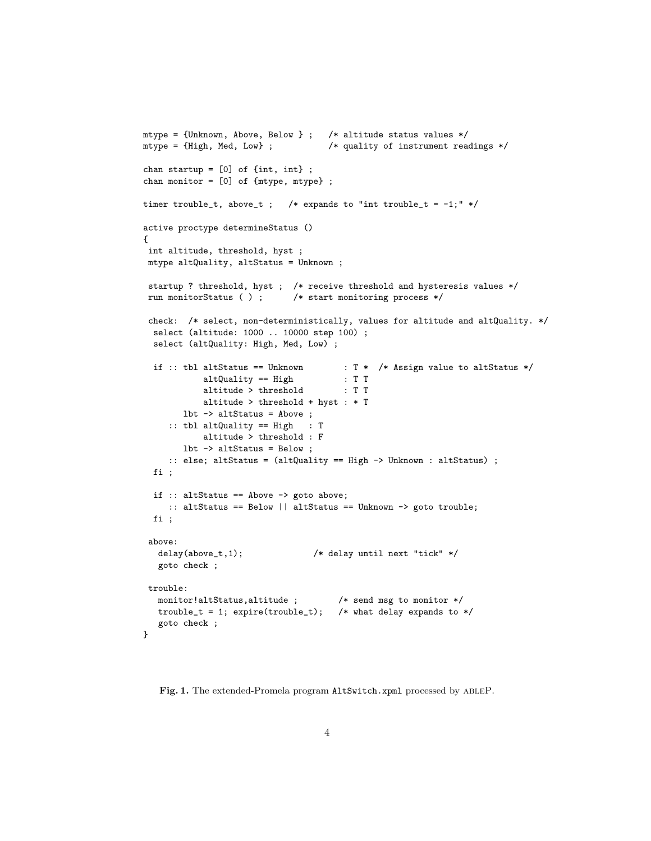```
mtype = {Unknown, Above, Below } ; /* altitude status values */
mtype = {High, Med, Low} ; /* quality of instrument readings */
chan startup = [0] of {int, int} ;
chan monitor = [0] of {mtype, mtype} ;
timer trouble_t, above_t ; /* expands to "int trouble_t = -1;" */
active proctype determineStatus ()
{
int altitude, threshold, hyst ;
mtype altQuality, altStatus = Unknown ;
startup ? threshold, hyst ; /* receive threshold and hysteresis values */
run monitorStatus ( ) ; /* start monitoring process */
check: /* select, non-deterministically, values for altitude and altQuality. */
 select (altitude: 1000 .. 10000 step 100) ;
 select (altQuality: High, Med, Low) ;
 if :: tbl altStatus == Unknown : T * /* Assign value to altStatus */<br>altQuality == High : T T
           altQuality == Highaltitude > threshold : T T
           altitude > threshold + hyst : * T
       lbt -> altStatus = Above ;
     :: tbl altQuality == High : T
           altitude > threshold : F
       lbt -> altStatus = Below ;
     :: else; altStatus = (altQuality == High -> Unknown : altStatus) ;
 fi ;
 if :: altStatus == Above -> goto above;
    :: altStatus == Below || altStatus == Unknown -> goto trouble;
 fi ;
above:
  delay(above_t,1); /* delay until next "tick" */
  goto check ;
trouble:
  monitor!altStatus,altitude ; \sqrt{*} send msg to monitor */trouble_t = 1; expire(trouble_t); /* what delay expands to */
  goto check ;
}
```
Fig. 1. The extended-Promela program AltSwitch.xpml processed by ableP.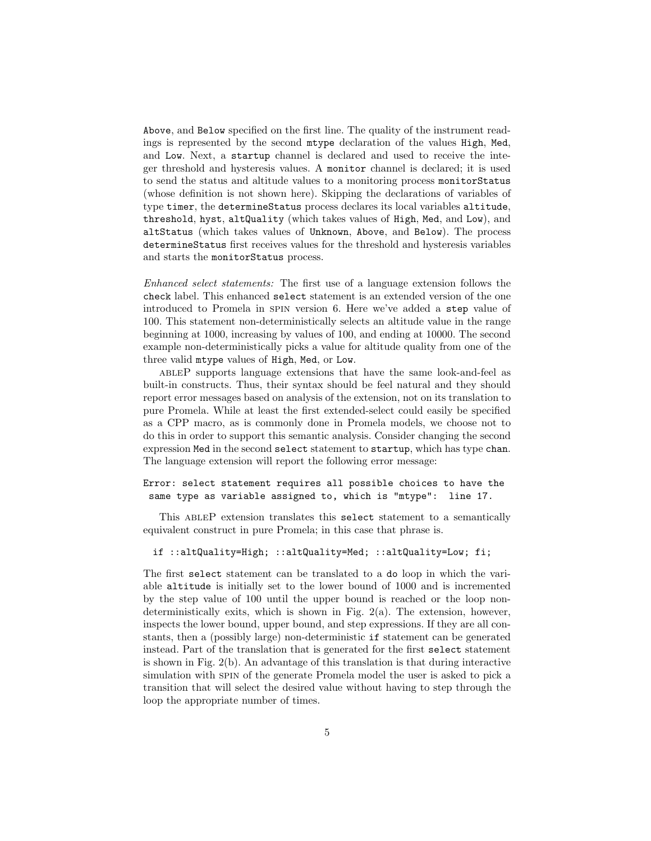Above, and Below specified on the first line. The quality of the instrument readings is represented by the second mtype declaration of the values High, Med, and Low. Next, a startup channel is declared and used to receive the integer threshold and hysteresis values. A monitor channel is declared; it is used to send the status and altitude values to a monitoring process monitorStatus (whose definition is not shown here). Skipping the declarations of variables of type timer, the determineStatus process declares its local variables altitude, threshold, hyst, altQuality (which takes values of High, Med, and Low), and altStatus (which takes values of Unknown, Above, and Below). The process determineStatus first receives values for the threshold and hysteresis variables and starts the monitorStatus process.

Enhanced select statements: The first use of a language extension follows the check label. This enhanced select statement is an extended version of the one introduced to Promela in spin version 6. Here we've added a step value of 100. This statement non-deterministically selects an altitude value in the range beginning at 1000, increasing by values of 100, and ending at 10000. The second example non-deterministically picks a value for altitude quality from one of the three valid mtype values of High, Med, or Low.

ableP supports language extensions that have the same look-and-feel as built-in constructs. Thus, their syntax should be feel natural and they should report error messages based on analysis of the extension, not on its translation to pure Promela. While at least the first extended-select could easily be specified as a CPP macro, as is commonly done in Promela models, we choose not to do this in order to support this semantic analysis. Consider changing the second expression Med in the second select statement to startup, which has type chan. The language extension will report the following error message:

## Error: select statement requires all possible choices to have the same type as variable assigned to, which is "mtype": line 17.

This ableP extension translates this select statement to a semantically equivalent construct in pure Promela; in this case that phrase is.

if ::altQuality=High; ::altQuality=Med; ::altQuality=Low; fi;

The first select statement can be translated to a do loop in which the variable altitude is initially set to the lower bound of 1000 and is incremented by the step value of 100 until the upper bound is reached or the loop nondeterministically exits, which is shown in Fig.  $2(a)$ . The extension, however, inspects the lower bound, upper bound, and step expressions. If they are all constants, then a (possibly large) non-deterministic if statement can be generated instead. Part of the translation that is generated for the first select statement is shown in Fig. 2(b). An advantage of this translation is that during interactive simulation with spin of the generate Promela model the user is asked to pick a transition that will select the desired value without having to step through the loop the appropriate number of times.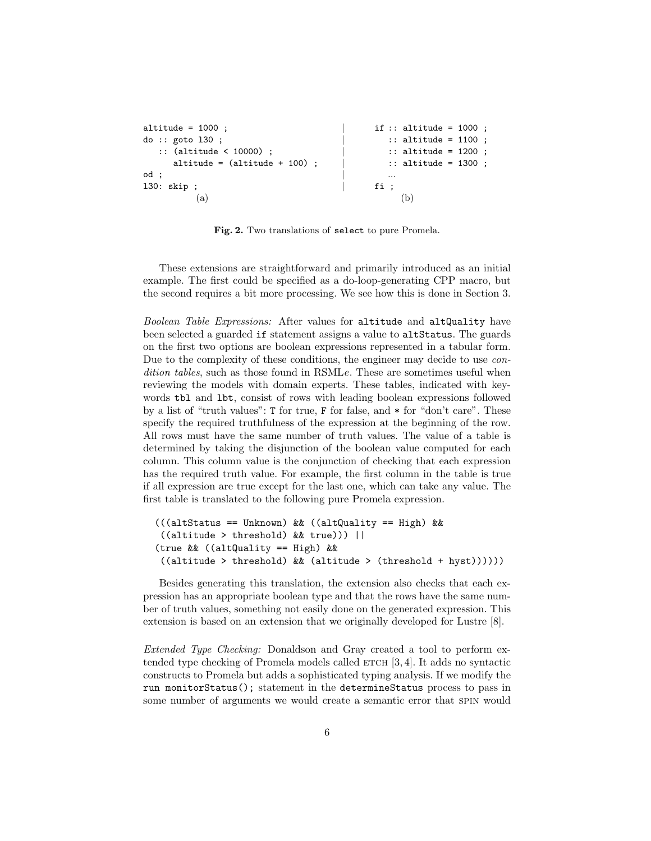```
altitude = 1000 ; | if :: altitude = 1000 ;
do :: goto l30 ; | :: altitude = 1100 ;
 \therefore (altitude < 10000) ; \qquad :: altitude = 1200 ;
   altitude = (altitude + 100); | :: altitude = 1300;
od ; where \qquad \qquad ... \qquad \qquadl30: skip ; | fi ;
      (a) (b)
```
Fig. 2. Two translations of select to pure Promela.

These extensions are straightforward and primarily introduced as an initial example. The first could be specified as a do-loop-generating CPP macro, but the second requires a bit more processing. We see how this is done in Section 3.

Boolean Table Expressions: After values for altitude and altQuality have been selected a guarded if statement assigns a value to altStatus. The guards on the first two options are boolean expressions represented in a tabular form. Due to the complexity of these conditions, the engineer may decide to use condition tables, such as those found in RSMLe. These are sometimes useful when reviewing the models with domain experts. These tables, indicated with keywords tbl and lbt, consist of rows with leading boolean expressions followed by a list of "truth values": T for true, F for false, and \* for "don't care". These specify the required truthfulness of the expression at the beginning of the row. All rows must have the same number of truth values. The value of a table is determined by taking the disjunction of the boolean value computed for each column. This column value is the conjunction of checking that each expression has the required truth value. For example, the first column in the table is true if all expression are true except for the last one, which can take any value. The first table is translated to the following pure Promela expression.

```
(((altStatus == Unknown) && ((altQuality == High) &&
 ((altitude > threshold) && true))) ||
(true && ((altQuality == High) &&
 ((altitude > threshold) && (altitude > (threshold + hyst))))))
```
Besides generating this translation, the extension also checks that each expression has an appropriate boolean type and that the rows have the same number of truth values, something not easily done on the generated expression. This extension is based on an extension that we originally developed for Lustre [8].

Extended Type Checking: Donaldson and Gray created a tool to perform extended type checking of Promela models called  $ETCH [3, 4]$ . It adds no syntactic constructs to Promela but adds a sophisticated typing analysis. If we modify the run monitorStatus(); statement in the determineStatus process to pass in some number of arguments we would create a semantic error that spin would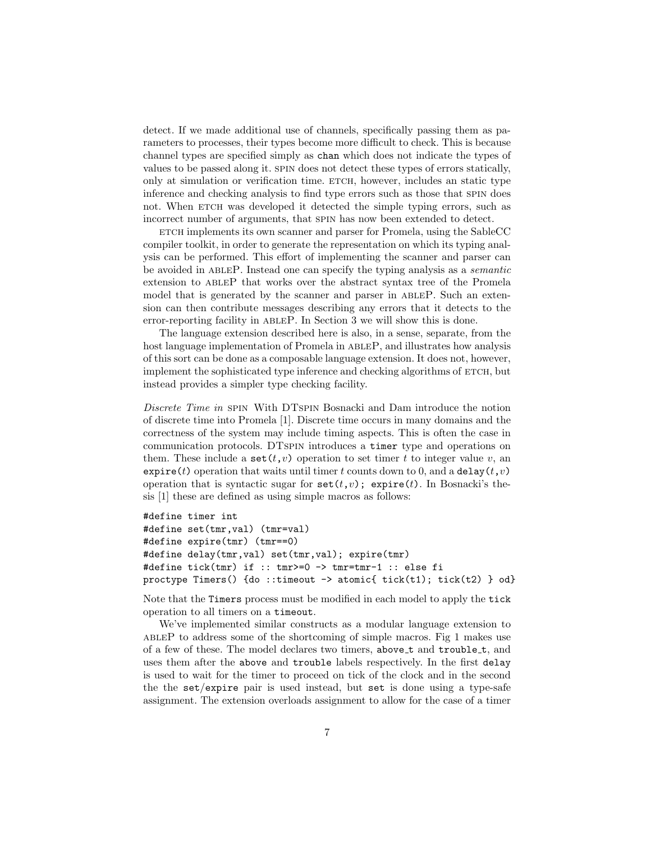detect. If we made additional use of channels, specifically passing them as parameters to processes, their types become more difficult to check. This is because channel types are specified simply as chan which does not indicate the types of values to be passed along it. spin does not detect these types of errors statically, only at simulation or verification time. ETCH, however, includes an static type inference and checking analysis to find type errors such as those that SPIN does not. When ETCH was developed it detected the simple typing errors, such as incorrect number of arguments, that spin has now been extended to detect.

ETCH implements its own scanner and parser for Promela, using the SableCC compiler toolkit, in order to generate the representation on which its typing analysis can be performed. This effort of implementing the scanner and parser can be avoided in ableP. Instead one can specify the typing analysis as a semantic extension to ableP that works over the abstract syntax tree of the Promela model that is generated by the scanner and parser in ableP. Such an extension can then contribute messages describing any errors that it detects to the error-reporting facility in ableP. In Section 3 we will show this is done.

The language extension described here is also, in a sense, separate, from the host language implementation of Promela in ABLEP, and illustrates how analysis of this sort can be done as a composable language extension. It does not, however, implement the sophisticated type inference and checking algorithms of ETCH, but instead provides a simpler type checking facility.

Discrete Time in SPIN With DTSPIN Bosnacki and Dam introduce the notion of discrete time into Promela [1]. Discrete time occurs in many domains and the correctness of the system may include timing aspects. This is often the case in communication protocols. DTspin introduces a timer type and operations on them. These include a  $\texttt{set}(t,v)$  operation to set timer t to integer value v, an expire(t) operation that waits until timer t counts down to 0, and a delay(t,v) operation that is syntactic sugar for  $set(t,v)$ ; expire(t). In Bosnacki's thesis [1] these are defined as using simple macros as follows:

```
#define timer int
#define set(tmr,val) (tmr=val)
#define expire(tmr) (tmr==0)
#define delay(tmr,val) set(tmr,val); expire(tmr)
#define tick(tmr) if :: tmr>=0 -> tmr=tmr-1 :: else fi
proctype Timers() {do ::timeout \rightarrow atomic{ tick(t1); tick(t2) } od}
```
Note that the Timers process must be modified in each model to apply the tick operation to all timers on a timeout.

We've implemented similar constructs as a modular language extension to ableP to address some of the shortcoming of simple macros. Fig 1 makes use of a few of these. The model declares two timers, above t and trouble t, and uses them after the above and trouble labels respectively. In the first delay is used to wait for the timer to proceed on tick of the clock and in the second the the set/expire pair is used instead, but set is done using a type-safe assignment. The extension overloads assignment to allow for the case of a timer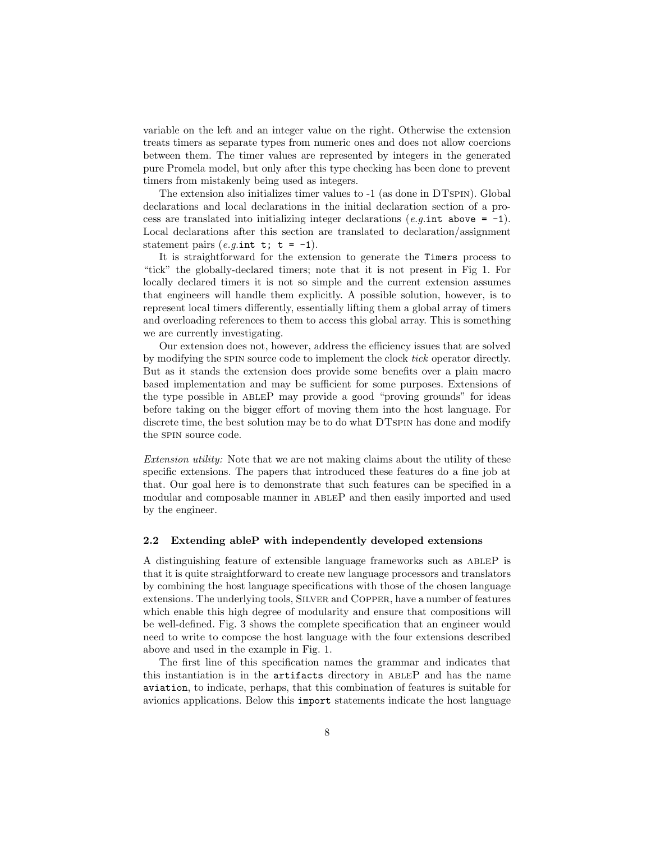variable on the left and an integer value on the right. Otherwise the extension treats timers as separate types from numeric ones and does not allow coercions between them. The timer values are represented by integers in the generated pure Promela model, but only after this type checking has been done to prevent timers from mistakenly being used as integers.

The extension also initializes timer values to -1 (as done in DTspin). Global declarations and local declarations in the initial declaration section of a process are translated into initializing integer declarations (e.g.int above  $= -1$ ). Local declarations after this section are translated to declaration/assignment statement pairs  $(e.g. \text{int } t; t = -1)$ .

It is straightforward for the extension to generate the Timers process to "tick" the globally-declared timers; note that it is not present in Fig 1. For locally declared timers it is not so simple and the current extension assumes that engineers will handle them explicitly. A possible solution, however, is to represent local timers differently, essentially lifting them a global array of timers and overloading references to them to access this global array. This is something we are currently investigating.

Our extension does not, however, address the efficiency issues that are solved by modifying the spin source code to implement the clock tick operator directly. But as it stands the extension does provide some benefits over a plain macro based implementation and may be sufficient for some purposes. Extensions of the type possible in ableP may provide a good "proving grounds" for ideas before taking on the bigger effort of moving them into the host language. For discrete time, the best solution may be to do what DTSPIN has done and modify the spin source code.

Extension utility: Note that we are not making claims about the utility of these specific extensions. The papers that introduced these features do a fine job at that. Our goal here is to demonstrate that such features can be specified in a modular and composable manner in ABLEP and then easily imported and used by the engineer.

#### 2.2 Extending ableP with independently developed extensions

A distinguishing feature of extensible language frameworks such as ableP is that it is quite straightforward to create new language processors and translators by combining the host language specifications with those of the chosen language extensions. The underlying tools, SILVER and COPPER, have a number of features which enable this high degree of modularity and ensure that compositions will be well-defined. Fig. 3 shows the complete specification that an engineer would need to write to compose the host language with the four extensions described above and used in the example in Fig. 1.

The first line of this specification names the grammar and indicates that this instantiation is in the artifacts directory in ableP and has the name aviation, to indicate, perhaps, that this combination of features is suitable for avionics applications. Below this import statements indicate the host language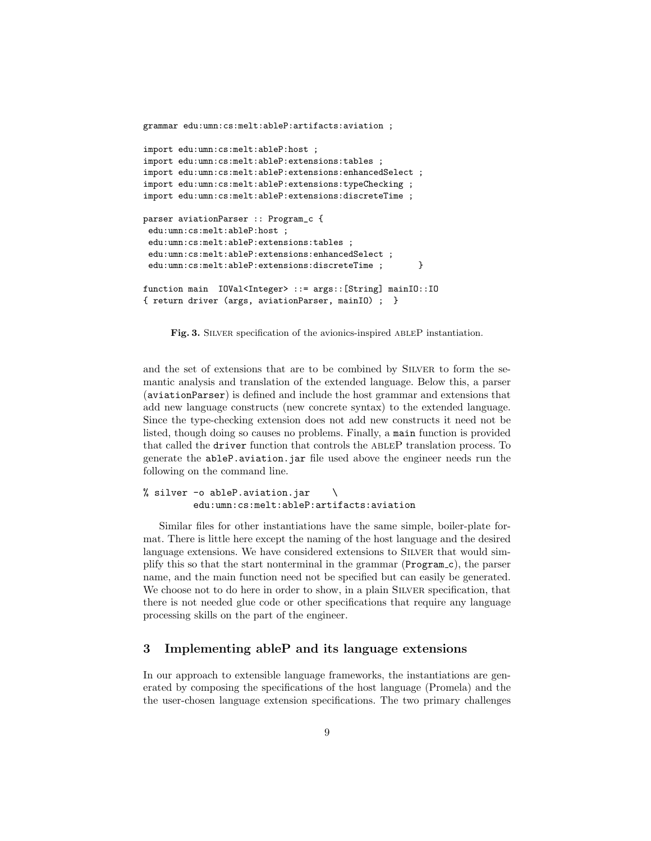```
grammar edu:umn:cs:melt:ableP:artifacts:aviation ;
import edu:umn:cs:melt:ableP:host ;
import edu:umn:cs:melt:ableP:extensions:tables ;
import edu:umn:cs:melt:ableP:extensions:enhancedSelect ;
import edu:umn:cs:melt:ableP:extensions:typeChecking ;
import edu:umn:cs:melt:ableP:extensions:discreteTime ;
parser aviationParser :: Program_c {
edu:umn:cs:melt:ableP:host ;
edu:umn:cs:melt:ableP:extensions:tables ;
edu:umn:cs:melt:ableP:extensions:enhancedSelect ;
edu:umn:cs:melt:ableP:extensions:discreteTime ; }
function main IOVal<Integer> ::= args::[String] mainIO::IO
{ return driver (args, aviationParser, mainIO) ; }
```
Fig. 3. SILVER specification of the avionics-inspired ABLEP instantiation.

and the set of extensions that are to be combined by Silver to form the semantic analysis and translation of the extended language. Below this, a parser (aviationParser) is defined and include the host grammar and extensions that add new language constructs (new concrete syntax) to the extended language. Since the type-checking extension does not add new constructs it need not be listed, though doing so causes no problems. Finally, a main function is provided that called the driver function that controls the ableP translation process. To generate the ableP.aviation.jar file used above the engineer needs run the following on the command line.

% silver -o ableP.aviation.jar \ edu:umn:cs:melt:ableP:artifacts:aviation

Similar files for other instantiations have the same simple, boiler-plate format. There is little here except the naming of the host language and the desired language extensions. We have considered extensions to SILVER that would simplify this so that the start nonterminal in the grammar (Program c), the parser name, and the main function need not be specified but can easily be generated. We choose not to do here in order to show, in a plain SILVER specification, that there is not needed glue code or other specifications that require any language processing skills on the part of the engineer.

## 3 Implementing ableP and its language extensions

In our approach to extensible language frameworks, the instantiations are generated by composing the specifications of the host language (Promela) and the the user-chosen language extension specifications. The two primary challenges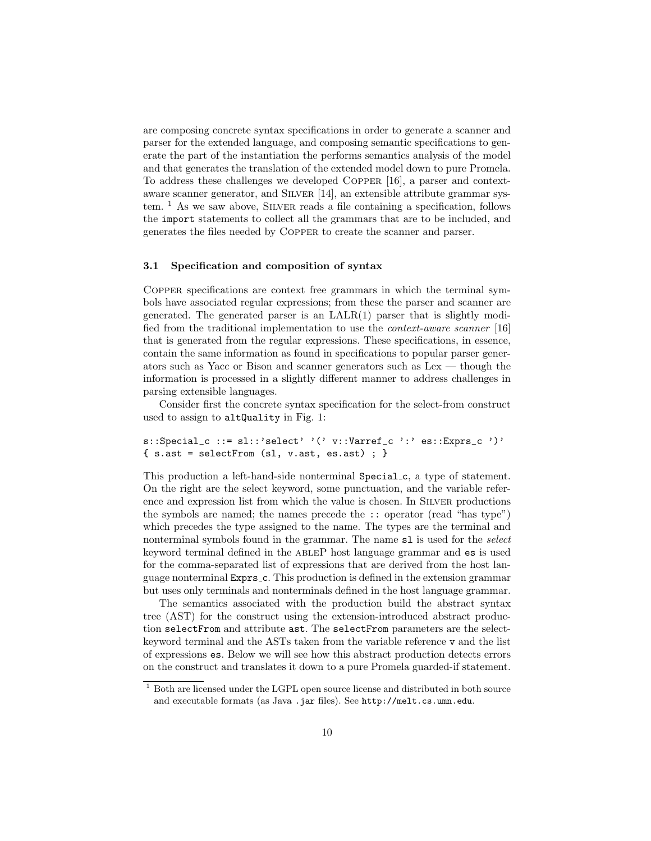are composing concrete syntax specifications in order to generate a scanner and parser for the extended language, and composing semantic specifications to generate the part of the instantiation the performs semantics analysis of the model and that generates the translation of the extended model down to pure Promela. To address these challenges we developed Copper [16], a parser and contextaware scanner generator, and SILVER [14], an extensible attribute grammar system.  $\frac{1}{1}$  As we saw above, SILVER reads a file containing a specification, follows the import statements to collect all the grammars that are to be included, and generates the files needed by Copper to create the scanner and parser.

#### 3.1 Specification and composition of syntax

Copper specifications are context free grammars in which the terminal symbols have associated regular expressions; from these the parser and scanner are generated. The generated parser is an LALR(1) parser that is slightly modified from the traditional implementation to use the context-aware scanner [16] that is generated from the regular expressions. These specifications, in essence, contain the same information as found in specifications to popular parser generators such as Yacc or Bison and scanner generators such as Lex — though the information is processed in a slightly different manner to address challenges in parsing extensible languages.

Consider first the concrete syntax specification for the select-from construct used to assign to altQuality in Fig. 1:

```
s::Special_c ::= sl::'select' '(' v::Varref_c ':' es::Exprs_c ')'
\{ s.ast = selectFrom (sl, v.ast, es.ast) ; \}
```
This production a left-hand-side nonterminal Special c, a type of statement. On the right are the select keyword, some punctuation, and the variable reference and expression list from which the value is chosen. In Silver productions the symbols are named; the names precede the :: operator (read "has type") which precedes the type assigned to the name. The types are the terminal and nonterminal symbols found in the grammar. The name s1 is used for the *select* keyword terminal defined in the ableP host language grammar and es is used for the comma-separated list of expressions that are derived from the host language nonterminal Exprs c. This production is defined in the extension grammar but uses only terminals and nonterminals defined in the host language grammar.

The semantics associated with the production build the abstract syntax tree (AST) for the construct using the extension-introduced abstract production selectFrom and attribute ast. The selectFrom parameters are the selectkeyword terminal and the ASTs taken from the variable reference v and the list of expressions es. Below we will see how this abstract production detects errors on the construct and translates it down to a pure Promela guarded-if statement.

 $^{\rm 1}$  Both are licensed under the LGPL open source license and distributed in both source and executable formats (as Java .jar files). See http://melt.cs.umn.edu.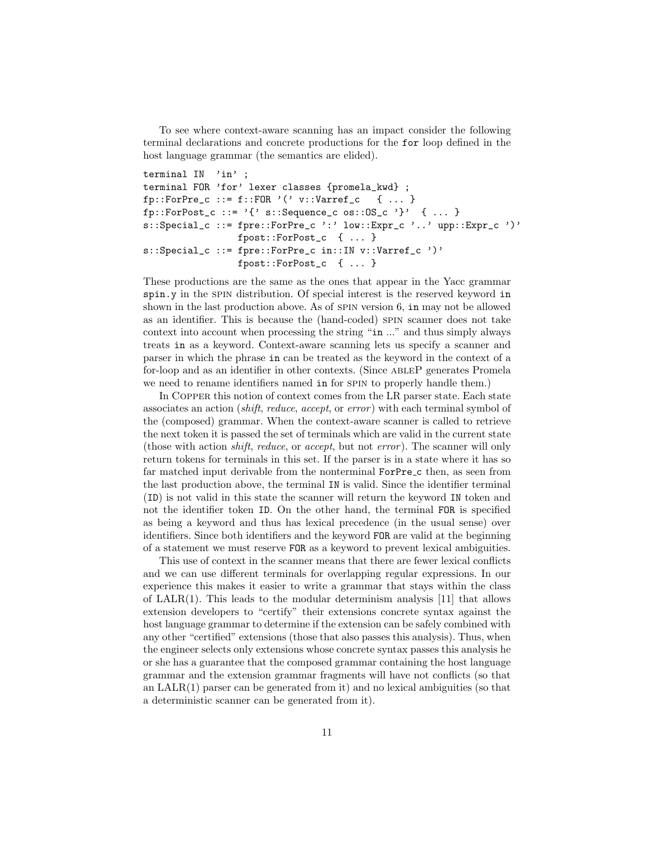To see where context-aware scanning has an impact consider the following terminal declarations and concrete productions for the for loop defined in the host language grammar (the semantics are elided).

```
terminal IN 'in' ;
terminal FOR 'for' lexer classes {promela_kwd} ;
fp::ForPre_c ::= f::FOR' (' v::Varref_c { ... }fp::ForPost_c ::= '{'s::Sequence_c os::OS_c'}' {...}s::Special_c ::= fpre::ForPre_c ':' low::Expr_c '..' upp::Expr_c ')'
                fpost::ForPost_c { ... }
s::Special_c ::= fpre::ForPre_c in::IN v::Varref_c ')'
                fpost::ForPost_c { ... }
```
These productions are the same as the ones that appear in the Yacc grammar spin.y in the SPIN distribution. Of special interest is the reserved keyword in shown in the last production above. As of spin version 6, in may not be allowed as an identifier. This is because the (hand-coded) spin scanner does not take context into account when processing the string "in ..." and thus simply always treats in as a keyword. Context-aware scanning lets us specify a scanner and parser in which the phrase in can be treated as the keyword in the context of a for-loop and as an identifier in other contexts. (Since ableP generates Promela we need to rename identifiers named in for spin to properly handle them.)

In Copper this notion of context comes from the LR parser state. Each state associates an action (shift, reduce, accept, or error) with each terminal symbol of the (composed) grammar. When the context-aware scanner is called to retrieve the next token it is passed the set of terminals which are valid in the current state (those with action shift, reduce, or accept, but not error ). The scanner will only return tokens for terminals in this set. If the parser is in a state where it has so far matched input derivable from the nonterminal ForPre\_c then, as seen from the last production above, the terminal IN is valid. Since the identifier terminal (ID) is not valid in this state the scanner will return the keyword IN token and not the identifier token ID. On the other hand, the terminal FOR is specified as being a keyword and thus has lexical precedence (in the usual sense) over identifiers. Since both identifiers and the keyword FOR are valid at the beginning of a statement we must reserve FOR as a keyword to prevent lexical ambiguities.

This use of context in the scanner means that there are fewer lexical conflicts and we can use different terminals for overlapping regular expressions. In our experience this makes it easier to write a grammar that stays within the class of  $\text{LALR}(1)$ . This leads to the modular determinism analysis [11] that allows extension developers to "certify" their extensions concrete syntax against the host language grammar to determine if the extension can be safely combined with any other "certified" extensions (those that also passes this analysis). Thus, when the engineer selects only extensions whose concrete syntax passes this analysis he or she has a guarantee that the composed grammar containing the host language grammar and the extension grammar fragments will have not conflicts (so that an LALR(1) parser can be generated from it) and no lexical ambiguities (so that a deterministic scanner can be generated from it).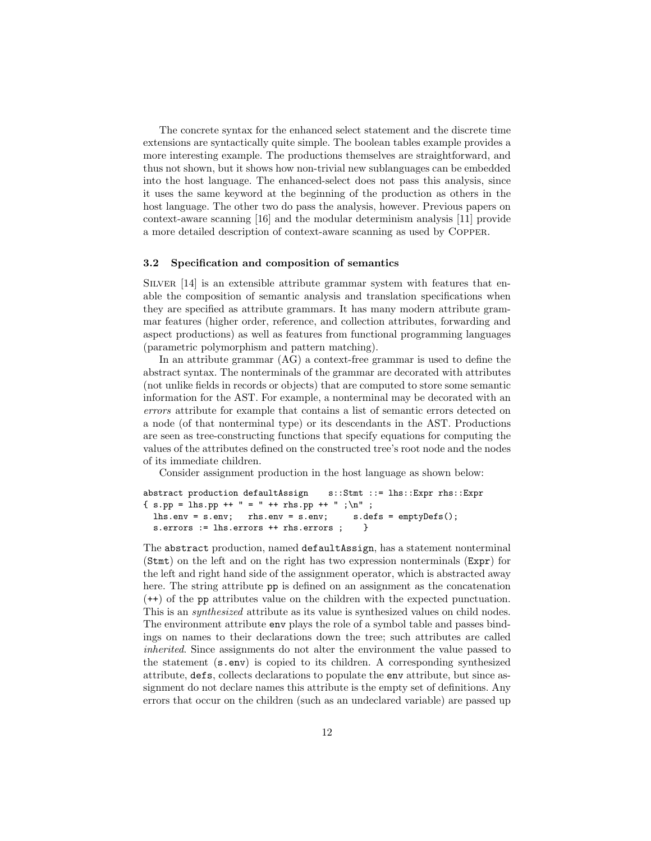The concrete syntax for the enhanced select statement and the discrete time extensions are syntactically quite simple. The boolean tables example provides a more interesting example. The productions themselves are straightforward, and thus not shown, but it shows how non-trivial new sublanguages can be embedded into the host language. The enhanced-select does not pass this analysis, since it uses the same keyword at the beginning of the production as others in the host language. The other two do pass the analysis, however. Previous papers on context-aware scanning [16] and the modular determinism analysis [11] provide a more detailed description of context-aware scanning as used by Copper.

#### 3.2 Specification and composition of semantics

Silver [14] is an extensible attribute grammar system with features that enable the composition of semantic analysis and translation specifications when they are specified as attribute grammars. It has many modern attribute grammar features (higher order, reference, and collection attributes, forwarding and aspect productions) as well as features from functional programming languages (parametric polymorphism and pattern matching).

In an attribute grammar (AG) a context-free grammar is used to define the abstract syntax. The nonterminals of the grammar are decorated with attributes (not unlike fields in records or objects) that are computed to store some semantic information for the AST. For example, a nonterminal may be decorated with an errors attribute for example that contains a list of semantic errors detected on a node (of that nonterminal type) or its descendants in the AST. Productions are seen as tree-constructing functions that specify equations for computing the values of the attributes defined on the constructed tree's root node and the nodes of its immediate children.

Consider assignment production in the host language as shown below:

```
abstract production defaultAssign s::Stmt ::= lhs::Expr rhs::Expr
\{ s.pp = lhs(pp ++ " = " ++ rhs(pp ++ " ;\n' ;\text{lns.env} = \text{s.env}; \text{rhs.env} = \text{s.env}; \text{s.defs} = \text{emptyDefs}();s.errors := lhs.errors ++ rhs.errors ; }
```
The abstract production, named defaultAssign, has a statement nonterminal (Stmt) on the left and on the right has two expression nonterminals (Expr) for the left and right hand side of the assignment operator, which is abstracted away here. The string attribute pp is defined on an assignment as the concatenation (++) of the pp attributes value on the children with the expected punctuation. This is an synthesized attribute as its value is synthesized values on child nodes. The environment attribute env plays the role of a symbol table and passes bindings on names to their declarations down the tree; such attributes are called inherited. Since assignments do not alter the environment the value passed to the statement (s.env) is copied to its children. A corresponding synthesized attribute, defs, collects declarations to populate the env attribute, but since assignment do not declare names this attribute is the empty set of definitions. Any errors that occur on the children (such as an undeclared variable) are passed up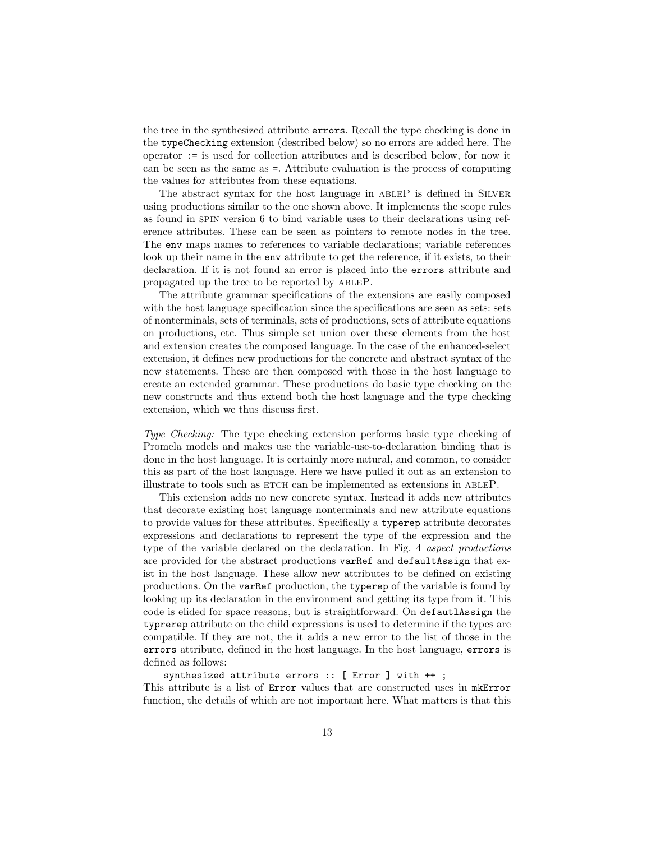the tree in the synthesized attribute errors. Recall the type checking is done in the typeChecking extension (described below) so no errors are added here. The operator := is used for collection attributes and is described below, for now it can be seen as the same as =. Attribute evaluation is the process of computing the values for attributes from these equations.

The abstract syntax for the host language in ABLEP is defined in SILVER using productions similar to the one shown above. It implements the scope rules as found in spin version 6 to bind variable uses to their declarations using reference attributes. These can be seen as pointers to remote nodes in the tree. The env maps names to references to variable declarations; variable references look up their name in the env attribute to get the reference, if it exists, to their declaration. If it is not found an error is placed into the errors attribute and propagated up the tree to be reported by ableP.

The attribute grammar specifications of the extensions are easily composed with the host language specification since the specifications are seen as sets: sets of nonterminals, sets of terminals, sets of productions, sets of attribute equations on productions, etc. Thus simple set union over these elements from the host and extension creates the composed language. In the case of the enhanced-select extension, it defines new productions for the concrete and abstract syntax of the new statements. These are then composed with those in the host language to create an extended grammar. These productions do basic type checking on the new constructs and thus extend both the host language and the type checking extension, which we thus discuss first.

Type Checking: The type checking extension performs basic type checking of Promela models and makes use the variable-use-to-declaration binding that is done in the host language. It is certainly more natural, and common, to consider this as part of the host language. Here we have pulled it out as an extension to illustrate to tools such as ETCH can be implemented as extensions in ABLEP.

This extension adds no new concrete syntax. Instead it adds new attributes that decorate existing host language nonterminals and new attribute equations to provide values for these attributes. Specifically a typerep attribute decorates expressions and declarations to represent the type of the expression and the type of the variable declared on the declaration. In Fig. 4 aspect productions are provided for the abstract productions varRef and defaultAssign that exist in the host language. These allow new attributes to be defined on existing productions. On the varRef production, the typerep of the variable is found by looking up its declaration in the environment and getting its type from it. This code is elided for space reasons, but is straightforward. On defautlAssign the typrerep attribute on the child expressions is used to determine if the types are compatible. If they are not, the it adds a new error to the list of those in the errors attribute, defined in the host language. In the host language, errors is defined as follows:

synthesized attribute errors :: [ Error ] with ++ ; This attribute is a list of Error values that are constructed uses in mkError function, the details of which are not important here. What matters is that this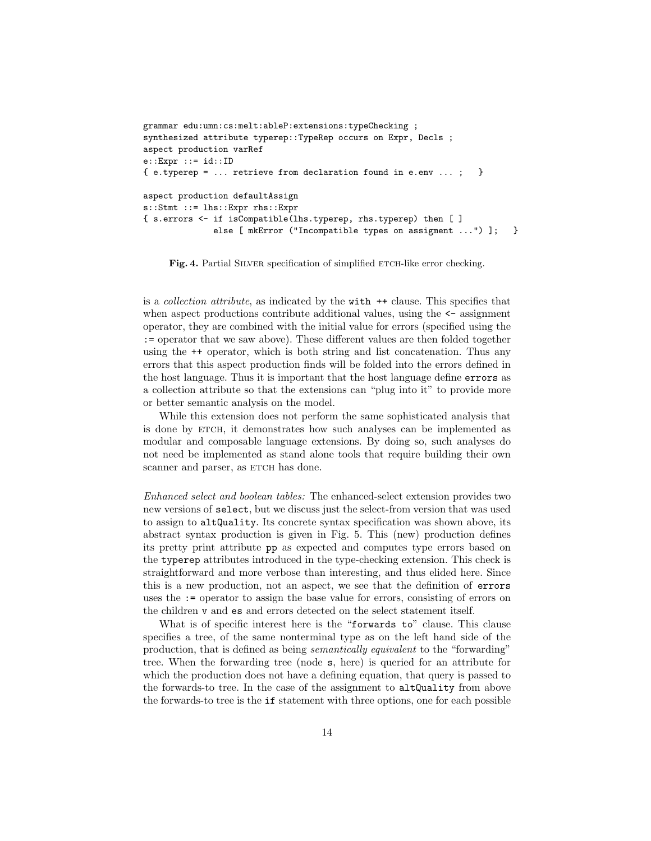```
grammar edu:umn:cs:melt:ableP:extensions:typeChecking ;
synthesized attribute typerep::TypeRep occurs on Expr, Decls ;
aspect production varRef
e::Expr ::= id::ID
{ e.typerep = ... retrieve from declaration found in e.env ... ; }
aspect production defaultAssign
s::Stmt ::= lhs::Expr rhs::Expr
{ s.errors <- if isCompatible(lhs.typerep, rhs.typerep) then [ ]
             else [ mkError ("Incompatible types on assigment ...") ]; }
```
Fig. 4. Partial SILVER specification of simplified ETCH-like error checking.

is a collection attribute, as indicated by the with ++ clause. This specifies that when aspect productions contribute additional values, using the  $\leq$ -assignment operator, they are combined with the initial value for errors (specified using the := operator that we saw above). These different values are then folded together using the ++ operator, which is both string and list concatenation. Thus any errors that this aspect production finds will be folded into the errors defined in the host language. Thus it is important that the host language define errors as a collection attribute so that the extensions can "plug into it" to provide more or better semantic analysis on the model.

While this extension does not perform the same sophisticated analysis that is done by ETCH, it demonstrates how such analyses can be implemented as modular and composable language extensions. By doing so, such analyses do not need be implemented as stand alone tools that require building their own scanner and parser, as ETCH has done.

Enhanced select and boolean tables: The enhanced-select extension provides two new versions of select, but we discuss just the select-from version that was used to assign to altQuality. Its concrete syntax specification was shown above, its abstract syntax production is given in Fig. 5. This (new) production defines its pretty print attribute pp as expected and computes type errors based on the typerep attributes introduced in the type-checking extension. This check is straightforward and more verbose than interesting, and thus elided here. Since this is a new production, not an aspect, we see that the definition of errors uses the := operator to assign the base value for errors, consisting of errors on the children v and es and errors detected on the select statement itself.

What is of specific interest here is the "forwards to" clause. This clause specifies a tree, of the same nonterminal type as on the left hand side of the production, that is defined as being semantically equivalent to the "forwarding" tree. When the forwarding tree (node s, here) is queried for an attribute for which the production does not have a defining equation, that query is passed to the forwards-to tree. In the case of the assignment to altQuality from above the forwards-to tree is the if statement with three options, one for each possible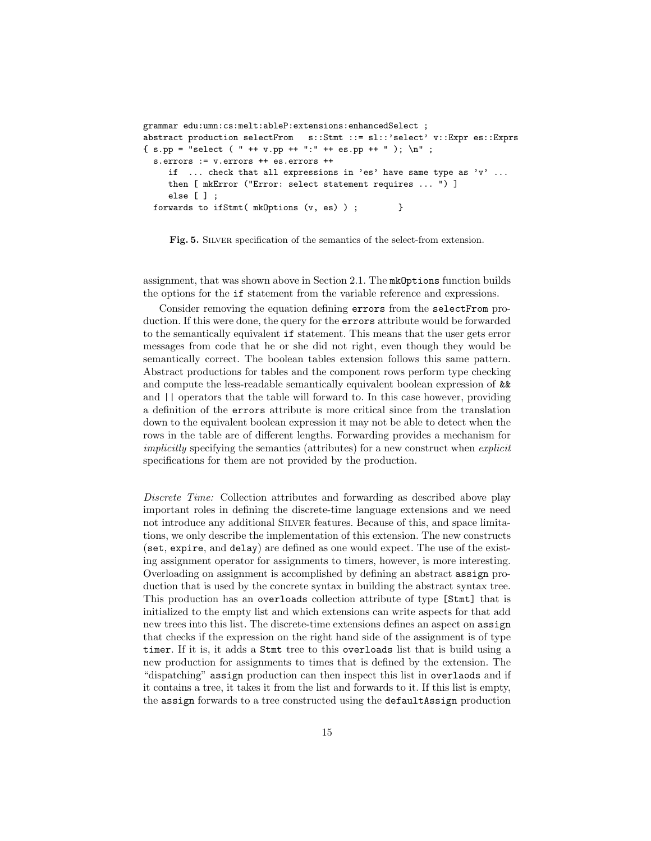```
grammar edu:umn:cs:melt:ableP:extensions:enhancedSelect ;
abstract production selectFrom s::Stmt ::= sl::'select' v::Expr es::Exprs
{s.pp = "select (" ++ v.pp ++ ":" ++ es.pp ++ " '); \n''' ;s.errors := v.errors ++ es.errors ++
     if ... check that all expressions in 'es' have same type as 'v' ...
    then [ mkError ("Error: select statement requires ... ") ]
    else [ ] ;
 forwards to ifStmt( mkOptions (v, es) ); }
```
Fig. 5. SILVER specification of the semantics of the select-from extension.

assignment, that was shown above in Section 2.1. The mkOptions function builds the options for the if statement from the variable reference and expressions.

Consider removing the equation defining errors from the selectFrom production. If this were done, the query for the errors attribute would be forwarded to the semantically equivalent if statement. This means that the user gets error messages from code that he or she did not right, even though they would be semantically correct. The boolean tables extension follows this same pattern. Abstract productions for tables and the component rows perform type checking and compute the less-readable semantically equivalent boolean expression of && and || operators that the table will forward to. In this case however, providing a definition of the errors attribute is more critical since from the translation down to the equivalent boolean expression it may not be able to detect when the rows in the table are of different lengths. Forwarding provides a mechanism for implicitly specifying the semantics (attributes) for a new construct when explicit specifications for them are not provided by the production.

Discrete Time: Collection attributes and forwarding as described above play important roles in defining the discrete-time language extensions and we need not introduce any additional SILVER features. Because of this, and space limitations, we only describe the implementation of this extension. The new constructs (set, expire, and delay) are defined as one would expect. The use of the existing assignment operator for assignments to timers, however, is more interesting. Overloading on assignment is accomplished by defining an abstract assign production that is used by the concrete syntax in building the abstract syntax tree. This production has an overloads collection attribute of type [Stmt] that is initialized to the empty list and which extensions can write aspects for that add new trees into this list. The discrete-time extensions defines an aspect on assign that checks if the expression on the right hand side of the assignment is of type timer. If it is, it adds a Stmt tree to this overloads list that is build using a new production for assignments to times that is defined by the extension. The "dispatching" assign production can then inspect this list in overlaods and if it contains a tree, it takes it from the list and forwards to it. If this list is empty, the assign forwards to a tree constructed using the defaultAssign production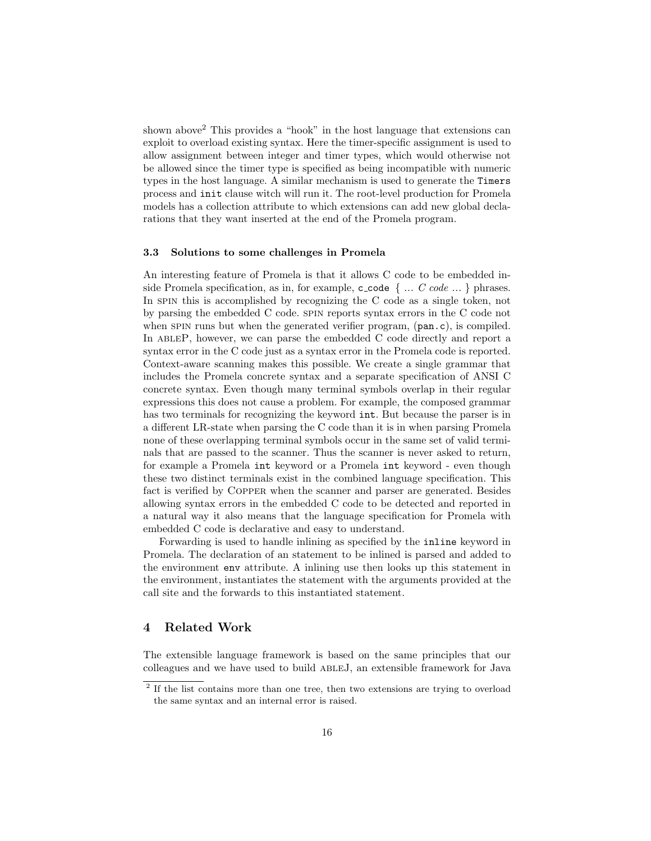shown above<sup>2</sup> This provides a "hook" in the host language that extensions can exploit to overload existing syntax. Here the timer-specific assignment is used to allow assignment between integer and timer types, which would otherwise not be allowed since the timer type is specified as being incompatible with numeric types in the host language. A similar mechanism is used to generate the Timers process and init clause witch will run it. The root-level production for Promela models has a collection attribute to which extensions can add new global declarations that they want inserted at the end of the Promela program.

## 3.3 Solutions to some challenges in Promela

An interesting feature of Promela is that it allows C code to be embedded inside Promela specification, as in, for example,  $c\text{-code } \{ \dots C \text{ code } \dots \}$  phrases. In spin this is accomplished by recognizing the C code as a single token, not by parsing the embedded C code. spin reports syntax errors in the C code not when SPIN runs but when the generated verifier program, (pan.c), is compiled. In ABLEP, however, we can parse the embedded C code directly and report a syntax error in the C code just as a syntax error in the Promela code is reported. Context-aware scanning makes this possible. We create a single grammar that includes the Promela concrete syntax and a separate specification of ANSI C concrete syntax. Even though many terminal symbols overlap in their regular expressions this does not cause a problem. For example, the composed grammar has two terminals for recognizing the keyword int. But because the parser is in a different LR-state when parsing the C code than it is in when parsing Promela none of these overlapping terminal symbols occur in the same set of valid terminals that are passed to the scanner. Thus the scanner is never asked to return, for example a Promela int keyword or a Promela int keyword - even though these two distinct terminals exist in the combined language specification. This fact is verified by Copper when the scanner and parser are generated. Besides allowing syntax errors in the embedded C code to be detected and reported in a natural way it also means that the language specification for Promela with embedded C code is declarative and easy to understand.

Forwarding is used to handle inlining as specified by the inline keyword in Promela. The declaration of an statement to be inlined is parsed and added to the environment env attribute. A inlining use then looks up this statement in the environment, instantiates the statement with the arguments provided at the call site and the forwards to this instantiated statement.

# 4 Related Work

The extensible language framework is based on the same principles that our colleagues and we have used to build ableJ, an extensible framework for Java

<sup>&</sup>lt;sup>2</sup> If the list contains more than one tree, then two extensions are trying to overload the same syntax and an internal error is raised.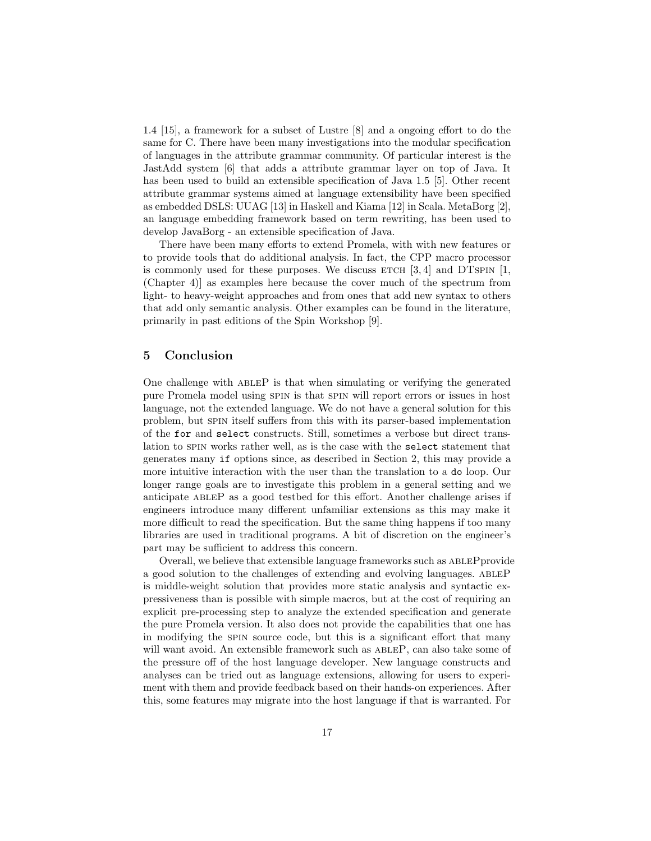1.4 [15], a framework for a subset of Lustre [8] and a ongoing effort to do the same for C. There have been many investigations into the modular specification of languages in the attribute grammar community. Of particular interest is the JastAdd system [6] that adds a attribute grammar layer on top of Java. It has been used to build an extensible specification of Java 1.5 [5]. Other recent attribute grammar systems aimed at language extensibility have been specified as embedded DSLS: UUAG [13] in Haskell and Kiama [12] in Scala. MetaBorg [2], an language embedding framework based on term rewriting, has been used to develop JavaBorg - an extensible specification of Java.

There have been many efforts to extend Promela, with with new features or to provide tools that do additional analysis. In fact, the CPP macro processor is commonly used for these purposes. We discuss ETCH  $[3, 4]$  and DTspIN  $[1, 4]$ (Chapter 4)] as examples here because the cover much of the spectrum from light- to heavy-weight approaches and from ones that add new syntax to others that add only semantic analysis. Other examples can be found in the literature, primarily in past editions of the Spin Workshop [9].

## 5 Conclusion

One challenge with ableP is that when simulating or verifying the generated pure Promela model using spin is that spin will report errors or issues in host language, not the extended language. We do not have a general solution for this problem, but spin itself suffers from this with its parser-based implementation of the for and select constructs. Still, sometimes a verbose but direct translation to spin works rather well, as is the case with the select statement that generates many if options since, as described in Section 2, this may provide a more intuitive interaction with the user than the translation to a do loop. Our longer range goals are to investigate this problem in a general setting and we anticipate ableP as a good testbed for this effort. Another challenge arises if engineers introduce many different unfamiliar extensions as this may make it more difficult to read the specification. But the same thing happens if too many libraries are used in traditional programs. A bit of discretion on the engineer's part may be sufficient to address this concern.

Overall, we believe that extensible language frameworks such as ablePprovide a good solution to the challenges of extending and evolving languages. ableP is middle-weight solution that provides more static analysis and syntactic expressiveness than is possible with simple macros, but at the cost of requiring an explicit pre-processing step to analyze the extended specification and generate the pure Promela version. It also does not provide the capabilities that one has in modifying the spin source code, but this is a significant effort that many will want avoid. An extensible framework such as  $ABLEP$ , can also take some of the pressure off of the host language developer. New language constructs and analyses can be tried out as language extensions, allowing for users to experiment with them and provide feedback based on their hands-on experiences. After this, some features may migrate into the host language if that is warranted. For